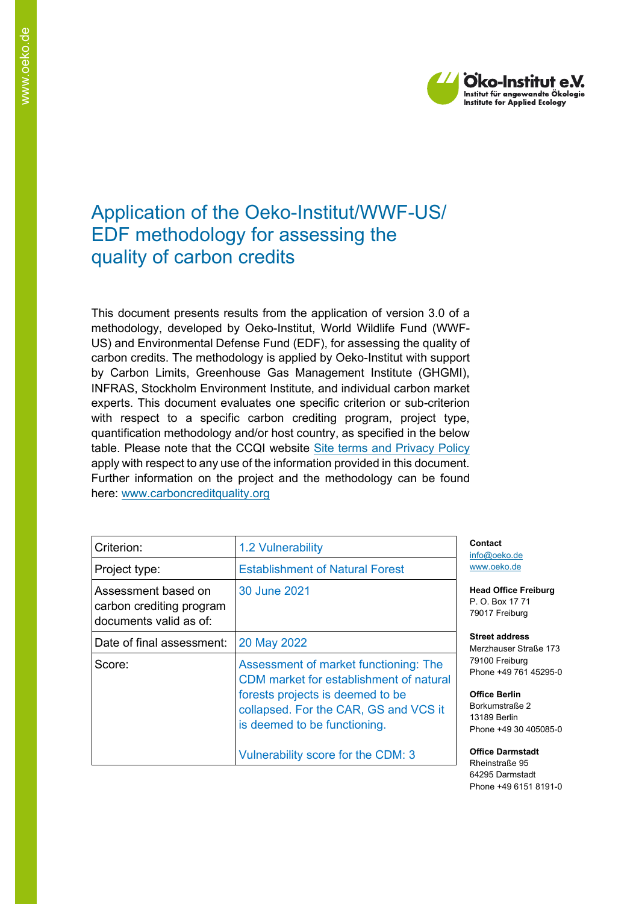

# Application of the Oeko-Institut/WWF-US/ EDF methodology for assessing the quality of carbon credits

This document presents results from the application of version 3.0 of a methodology, developed by Oeko-Institut, World Wildlife Fund (WWF-US) and Environmental Defense Fund (EDF), for assessing the quality of carbon credits. The methodology is applied by Oeko-Institut with support by Carbon Limits, Greenhouse Gas Management Institute (GHGMI), INFRAS, Stockholm Environment Institute, and individual carbon market experts. This document evaluates one specific criterion or sub-criterion with respect to a specific carbon crediting program, project type, quantification methodology and/or host country, as specified in the below table. Please note that the CCQI website [Site terms and Privacy Policy](https://carboncreditquality.org/terms.html) apply with respect to any use of the information provided in this document. Further information on the project and the methodology can be found here: [www.carboncreditquality.org](http://www.carboncreditquality.org/)

| Criterion:                                                                | 1.2 Vulnerability                                                                                                                                                                             |  |
|---------------------------------------------------------------------------|-----------------------------------------------------------------------------------------------------------------------------------------------------------------------------------------------|--|
| Project type:                                                             | <b>Establishment of Natural Forest</b>                                                                                                                                                        |  |
| Assessment based on<br>carbon crediting program<br>documents valid as of: | 30 June 2021                                                                                                                                                                                  |  |
| Date of final assessment:                                                 | 20 May 2022                                                                                                                                                                                   |  |
| Score:                                                                    | Assessment of market functioning: The<br>CDM market for establishment of natural<br>forests projects is deemed to be<br>collapsed. For the CAR, GS and VCS it<br>is deemed to be functioning. |  |
|                                                                           | Vulnerability score for the CDM: 3                                                                                                                                                            |  |

**Contact** nfo@oeko.de [www.oeko.de](http://www.oeko.de/)

**Head Office Freiburg** P. O. Box 17 71 79017 Freiburg

**Street address** Merzhauser Straße 173 79100 Freiburg Phone +49 761 45295-0

**Office Berlin** Borkumstraße 2 13189 Berlin Phone +49 30 405085-0

**Office Darmstadt** Rheinstraße 95 64295 Darmstadt Phone +49 6151 8191-0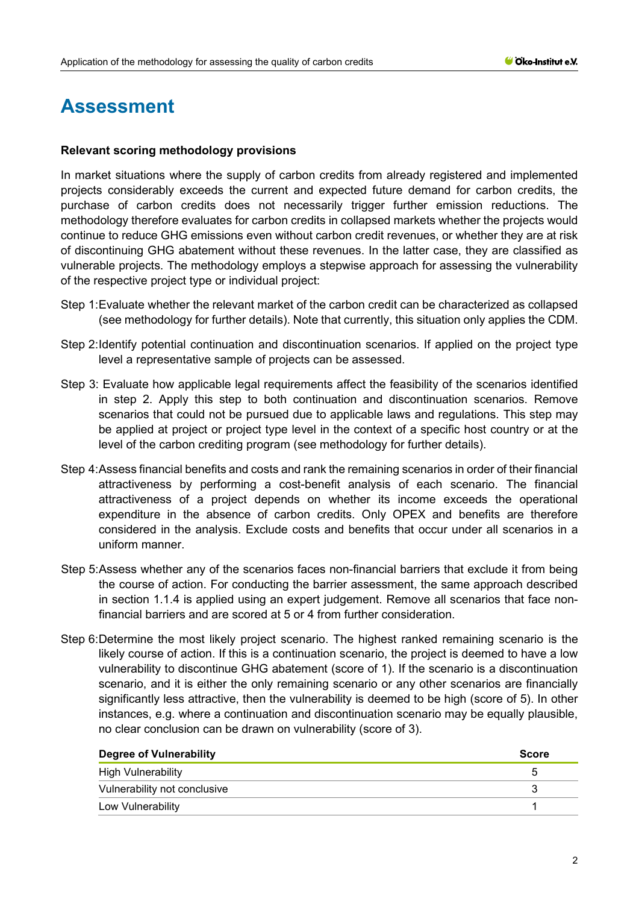# **Assessment**

# **Relevant scoring methodology provisions**

In market situations where the supply of carbon credits from already registered and implemented projects considerably exceeds the current and expected future demand for carbon credits, the purchase of carbon credits does not necessarily trigger further emission reductions. The methodology therefore evaluates for carbon credits in collapsed markets whether the projects would continue to reduce GHG emissions even without carbon credit revenues, or whether they are at risk of discontinuing GHG abatement without these revenues. In the latter case, they are classified as vulnerable projects. The methodology employs a stepwise approach for assessing the vulnerability of the respective project type or individual project:

- Step 1:Evaluate whether the relevant market of the carbon credit can be characterized as collapsed (see methodology for further details). Note that currently, this situation only applies the CDM.
- Step 2:Identify potential continuation and discontinuation scenarios. If applied on the project type level a representative sample of projects can be assessed.
- Step 3: Evaluate how applicable legal requirements affect the feasibility of the scenarios identified in step 2. Apply this step to both continuation and discontinuation scenarios. Remove scenarios that could not be pursued due to applicable laws and regulations. This step may be applied at project or project type level in the context of a specific host country or at the level of the carbon crediting program (see methodology for further details).
- Step 4:Assess financial benefits and costs and rank the remaining scenarios in order of their financial attractiveness by performing a cost-benefit analysis of each scenario. The financial attractiveness of a project depends on whether its income exceeds the operational expenditure in the absence of carbon credits. Only OPEX and benefits are therefore considered in the analysis. Exclude costs and benefits that occur under all scenarios in a uniform manner.
- Step 5:Assess whether any of the scenarios faces non-financial barriers that exclude it from being the course of action. For conducting the barrier assessment, the same approach described in section 1.1.4 is applied using an expert judgement. Remove all scenarios that face nonfinancial barriers and are scored at 5 or 4 from further consideration.
- Step 6:Determine the most likely project scenario. The highest ranked remaining scenario is the likely course of action. If this is a continuation scenario, the project is deemed to have a low vulnerability to discontinue GHG abatement (score of 1). If the scenario is a discontinuation scenario, and it is either the only remaining scenario or any other scenarios are financially significantly less attractive, then the vulnerability is deemed to be high (score of 5). In other instances, e.g. where a continuation and discontinuation scenario may be equally plausible, no clear conclusion can be drawn on vulnerability (score of 3).

| Degree of Vulnerability      | <b>Score</b> |
|------------------------------|--------------|
| <b>High Vulnerability</b>    | G            |
| Vulnerability not conclusive |              |
| Low Vulnerability            |              |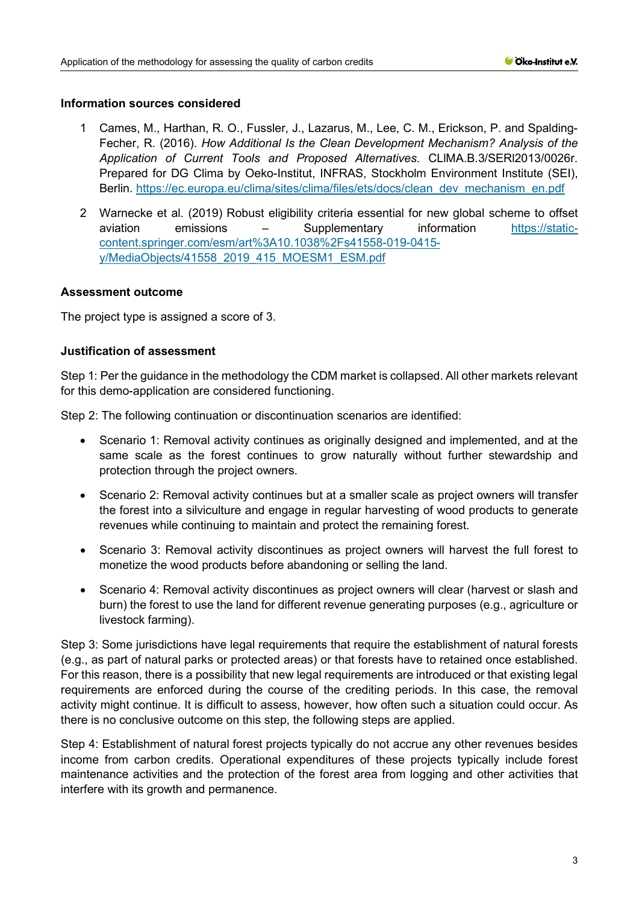#### **Information sources considered**

- 1 Cames, M., Harthan, R. O., Fussler, J., Lazarus, M., Lee, C. M., Erickson, P. and Spalding-Fecher, R. (2016). *How Additional Is the Clean Development Mechanism? Analysis of the Application of Current Tools and Proposed Alternatives*. CLlMA.B.3/SERl2013/0026r. Prepared for DG Clima by Oeko-Institut, INFRAS, Stockholm Environment Institute (SEI), Berlin. [https://ec.europa.eu/clima/sites/clima/files/ets/docs/clean\\_dev\\_mechanism\\_en.pdf](https://ec.europa.eu/clima/sites/clima/files/ets/docs/clean_dev_mechanism_en.pdf)
- 2 Warnecke et al. (2019) Robust eligibility criteria essential for new global scheme to offset aviation emissions – Supplementary information [https://static](https://static-content.springer.com/esm/art%3A10.1038%2Fs41558-019-0415-y/MediaObjects/41558_2019_415_MOESM1_ESM.pdf)[content.springer.com/esm/art%3A10.1038%2Fs41558-019-0415](https://static-content.springer.com/esm/art%3A10.1038%2Fs41558-019-0415-y/MediaObjects/41558_2019_415_MOESM1_ESM.pdf) [y/MediaObjects/41558\\_2019\\_415\\_MOESM1\\_ESM.pdf](https://static-content.springer.com/esm/art%3A10.1038%2Fs41558-019-0415-y/MediaObjects/41558_2019_415_MOESM1_ESM.pdf)

# **Assessment outcome**

The project type is assigned a score of 3.

# **Justification of assessment**

Step 1: Per the guidance in the methodology the CDM market is collapsed. All other markets relevant for this demo-application are considered functioning.

Step 2: The following continuation or discontinuation scenarios are identified:

- Scenario 1: Removal activity continues as originally designed and implemented, and at the same scale as the forest continues to grow naturally without further stewardship and protection through the project owners.
- Scenario 2: Removal activity continues but at a smaller scale as project owners will transfer the forest into a silviculture and engage in regular harvesting of wood products to generate revenues while continuing to maintain and protect the remaining forest.
- Scenario 3: Removal activity discontinues as project owners will harvest the full forest to monetize the wood products before abandoning or selling the land.
- Scenario 4: Removal activity discontinues as project owners will clear (harvest or slash and burn) the forest to use the land for different revenue generating purposes (e.g., agriculture or livestock farming).

Step 3: Some jurisdictions have legal requirements that require the establishment of natural forests (e.g., as part of natural parks or protected areas) or that forests have to retained once established. For this reason, there is a possibility that new legal requirements are introduced or that existing legal requirements are enforced during the course of the crediting periods. In this case, the removal activity might continue. It is difficult to assess, however, how often such a situation could occur. As there is no conclusive outcome on this step, the following steps are applied.

Step 4: Establishment of natural forest projects typically do not accrue any other revenues besides income from carbon credits. Operational expenditures of these projects typically include forest maintenance activities and the protection of the forest area from logging and other activities that interfere with its growth and permanence.